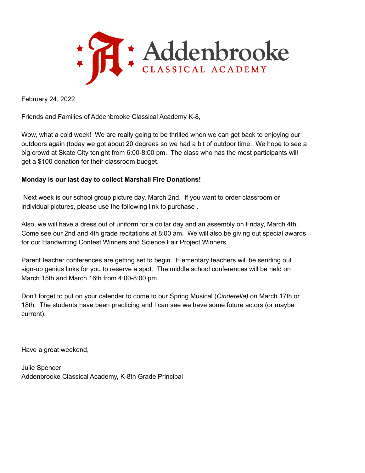

February 24, 2022

Friends and Families of Addenbrooke Classical Academy K-8,

Wow, what a cold week! We are really going to be thrilled when we can get back to enjoying our outdoors again (today we got about 20 degrees so we had a bit of outdoor time. We hope to see a big crowd at Skate City tonight from 6:00-8:00 pm. The class who has the most participants will get a \$100 donation for their classroom budget.

## **Monday is our last day to collect Marshall Fire Donations!**

Next week is our school group picture day, March 2nd. If you want to order classroom or individual pictures, please use the following link to purchase .

Also, we will have a dress out of uniform for a dollar day and an assembly on Friday, March 4th. Come see our 2nd and 4th grade recitations at 8:00 am. We will also be giving out special awards for our Handwriting Contest Winners and Science Fair Project Winners.

Parent teacher conferences are getting set to begin. Elementary teachers will be sending out sign-up genius links for you to reserve a spot. The middle school conferences will be held on March 15th and March 16th from 4:00-8:00 pm.

Don't forget to put on your calendar to come to our Spring Musical (*Cinderella)* on March 17th or 18th. The students have been practicing and I can see we have some future actors (or maybe current).

Have a great weekend,

Julie Spencer Addenbrooke Classical Academy, K-8th Grade Principal